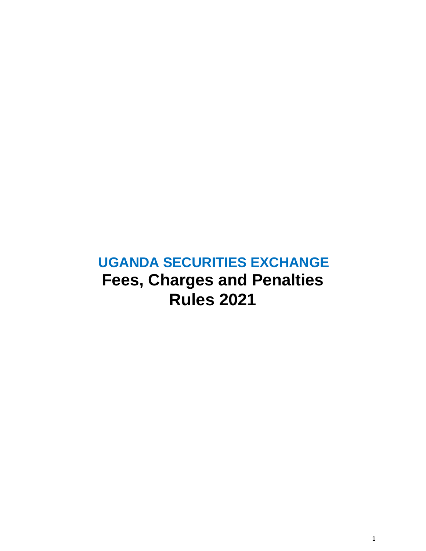# **UGANDA SECURITIES EXCHANGE Fees, Charges and Penalties Rules 2021**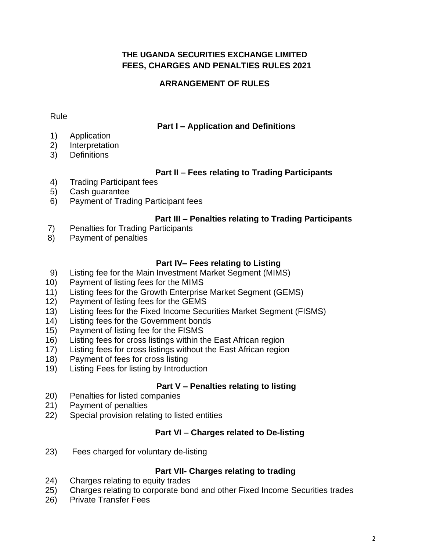# **THE UGANDA SECURITIES EXCHANGE LIMITED FEES, CHARGES AND PENALTIES RULES 2021**

# **ARRANGEMENT OF RULES**

#### Rule

# **Part I – Application and Definitions**

- 1) Application
- 2) Interpretation
- 3) Definitions

# **Part II – Fees relating to Trading Participants**

- 4) Trading Participant fees
- 5) Cash guarantee
- 6) Payment of Trading Participant fees

# **Part III – Penalties relating to Trading Participants**

- 7) Penalties for Trading Participants
- 8) Payment of penalties

# **Part IV– Fees relating to Listing**

- 9) Listing fee for the Main Investment Market Segment (MIMS)
- 10) Payment of listing fees for the MIMS
- 11) Listing fees for the Growth Enterprise Market Segment (GEMS)
- 12) Payment of listing fees for the GEMS
- 13) Listing fees for the Fixed Income Securities Market Segment (FISMS)
- 14) Listing fees for the Government bonds
- 15) Payment of listing fee for the FISMS
- 16) Listing fees for cross listings within the East African region
- 17) Listing fees for cross listings without the East African region
- 18) Payment of fees for cross listing
- 19) Listing Fees for listing by Introduction

# **Part V – Penalties relating to listing**

- 20) Penalties for listed companies
- 21) Payment of penalties
- 22) Special provision relating to listed entities

# **Part VI – Charges related to De-listing**

23) Fees charged for voluntary de-listing

# **Part VII- Charges relating to trading**

- 24) Charges relating to equity trades
- 25) Charges relating to corporate bond and other Fixed Income Securities trades
- 26) Private Transfer Fees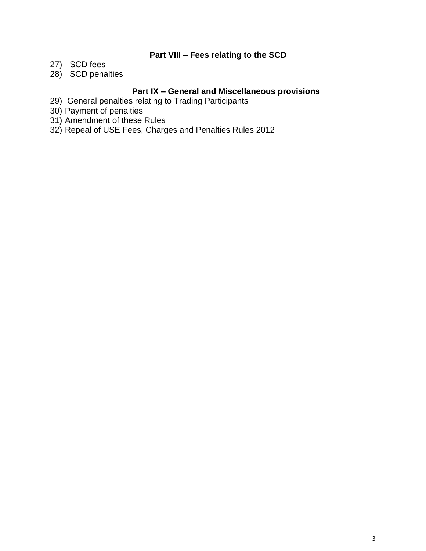# **Part VIII – Fees relating to the SCD**

- 27) SCD fees
- 28) SCD penalties

# **Part IX – General and Miscellaneous provisions**

- 29) General penalties relating to Trading Participants
- 30) Payment of penalties
- 31) Amendment of these Rules
- 32) Repeal of USE Fees, Charges and Penalties Rules 2012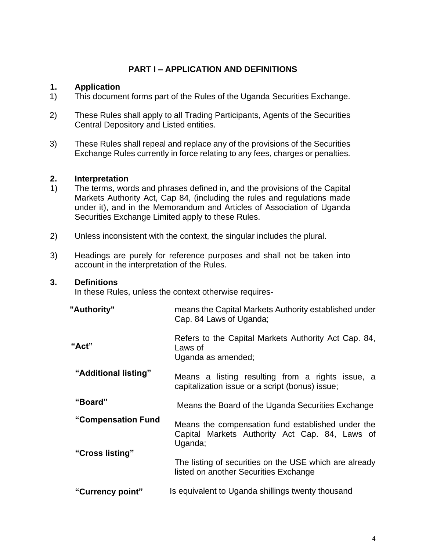# **PART I – APPLICATION AND DEFINITIONS**

#### **1. Application**

- 1) This document forms part of the Rules of the Uganda Securities Exchange.
- 2) These Rules shall apply to all Trading Participants, Agents of the Securities Central Depository and Listed entities.
- 3) These Rules shall repeal and replace any of the provisions of the Securities Exchange Rules currently in force relating to any fees, charges or penalties.

#### **2. Interpretation**

- 1) The terms, words and phrases defined in, and the provisions of the Capital Markets Authority Act, Cap 84, (including the rules and regulations made under it), and in the Memorandum and Articles of Association of Uganda Securities Exchange Limited apply to these Rules.
- 2) Unless inconsistent with the context, the singular includes the plural.
- 3) Headings are purely for reference purposes and shall not be taken into account in the interpretation of the Rules.

#### **3. Definitions**

In these Rules, unless the context otherwise requires-

| "Authority"          | means the Capital Markets Authority established under<br>Cap. 84 Laws of Uganda;                               |
|----------------------|----------------------------------------------------------------------------------------------------------------|
| "Act"                | Refers to the Capital Markets Authority Act Cap. 84,<br>Laws of<br>Uganda as amended;                          |
| "Additional listing" | Means a listing resulting from a rights issue, a<br>capitalization issue or a script (bonus) issue;            |
| "Board"              | Means the Board of the Uganda Securities Exchange                                                              |
| "Compensation Fund   | Means the compensation fund established under the<br>Capital Markets Authority Act Cap. 84, Laws of<br>Uganda; |
| "Cross listing"      | The listing of securities on the USE which are already<br>listed on another Securities Exchange                |
| "Currency point"     | Is equivalent to Uganda shillings twenty thousand                                                              |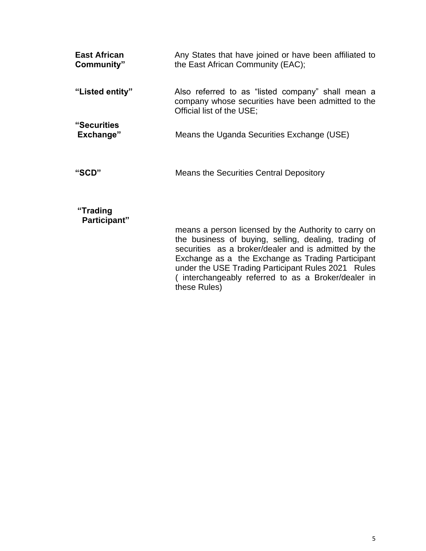| <b>East African</b><br>Community" | Any States that have joined or have been affiliated to<br>the East African Community (EAC);                                          |
|-----------------------------------|--------------------------------------------------------------------------------------------------------------------------------------|
| "Listed entity"                   | Also referred to as "listed company" shall mean a<br>company whose securities have been admitted to the<br>Official list of the USE; |
| <b>"Securities</b><br>Exchange"   | Means the Uganda Securities Exchange (USE)                                                                                           |
| "SCD"                             | Means the Securities Central Depository                                                                                              |

# **"Trading**

 **Participant"**

means a person licensed by the Authority to carry on the business of buying, selling, dealing, trading of securities as a broker/dealer and is admitted by the Exchange as a the Exchange as Trading Participant under the USE Trading Participant Rules 2021 Rules ( interchangeably referred to as a Broker/dealer in these Rules)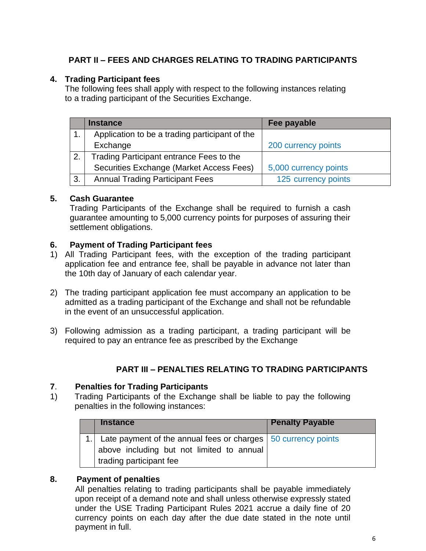# **PART II – FEES AND CHARGES RELATING TO TRADING PARTICIPANTS**

# **4. Trading Participant fees**

The following fees shall apply with respect to the following instances relating to a trading participant of the Securities Exchange.

|    | <b>Instance</b>                                | Fee payable           |
|----|------------------------------------------------|-----------------------|
| 1. | Application to be a trading participant of the |                       |
|    | Exchange                                       | 200 currency points   |
| 2. | Trading Participant entrance Fees to the       |                       |
|    | Securities Exchange (Market Access Fees)       | 5,000 currency points |
| 3. | <b>Annual Trading Participant Fees</b>         | 125 currency points   |

#### **5. Cash Guarantee**

Trading Participants of the Exchange shall be required to furnish a cash guarantee amounting to 5,000 currency points for purposes of assuring their settlement obligations.

#### **6. Payment of Trading Participant fees**

- 1) All Trading Participant fees, with the exception of the trading participant application fee and entrance fee, shall be payable in advance not later than the 10th day of January of each calendar year.
- 2) The trading participant application fee must accompany an application to be admitted as a trading participant of the Exchange and shall not be refundable in the event of an unsuccessful application.
- 3) Following admission as a trading participant, a trading participant will be required to pay an entrance fee as prescribed by the Exchange

# **PART III – PENALTIES RELATING TO TRADING PARTICIPANTS**

#### **7**. **Penalties for Trading Participants**

1) Trading Participants of the Exchange shall be liable to pay the following penalties in the following instances:

| <b>Instance</b>                                                  | <b>Penalty Payable</b> |
|------------------------------------------------------------------|------------------------|
| 1. Late payment of the annual fees or charges 50 currency points |                        |
| above including but not limited to annual                        |                        |
| trading participant fee                                          |                        |

#### **8. Payment of penalties**

All penalties relating to trading participants shall be payable immediately upon receipt of a demand note and shall unless otherwise expressly stated under the USE Trading Participant Rules 2021 accrue a daily fine of 20 currency points on each day after the due date stated in the note until payment in full.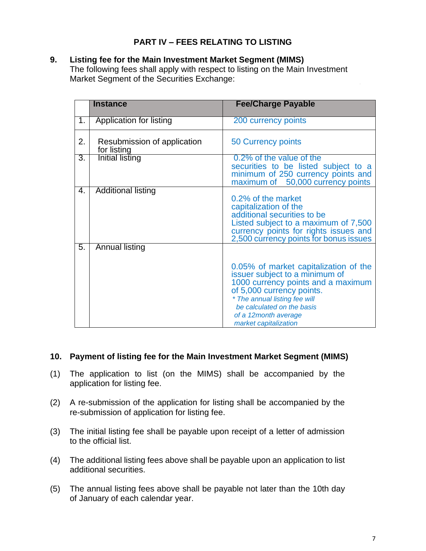# **PART IV – FEES RELATING TO LISTING**

# **9. Listing fee for the Main Investment Market Segment (MIMS)**

The following fees shall apply with respect to listing on the Main Investment Market Segment of the Securities Exchange:

|                | <b>Instance</b>                            | <b>Fee/Charge Payable</b>                                                                                                                                                                                                                                  |
|----------------|--------------------------------------------|------------------------------------------------------------------------------------------------------------------------------------------------------------------------------------------------------------------------------------------------------------|
| 1 <sub>1</sub> | Application for listing                    | 200 currency points                                                                                                                                                                                                                                        |
| 2.             | Resubmission of application<br>for listing | 50 Currency points                                                                                                                                                                                                                                         |
| 3.             | <b>Initial listing</b>                     | 0.2% of the value of the<br>securities to be listed subject to a<br>minimum of 250 currency points and<br>maximum of 50,000 currency points                                                                                                                |
| 4.             | <b>Additional listing</b>                  | 0.2% of the market<br>capitalization of the<br>additional securities to be<br>Listed subject to a maximum of 7,500<br>currency points for rights issues and<br>2,500 currency points for bonus issues                                                      |
| 5.             | <b>Annual listing</b>                      | 0.05% of market capitalization of the<br>issuer subject to a minimum of<br>1000 currency points and a maximum<br>of 5,000 currency points.<br>* The annual listing fee will<br>be calculated on the basis<br>of a 12month average<br>market capitalization |

# **10. Payment of listing fee for the Main Investment Market Segment (MIMS)**

- (1) The application to list (on the MIMS) shall be accompanied by the application for listing fee.
- (2) A re-submission of the application for listing shall be accompanied by the re-submission of application for listing fee.
- (3) The initial listing fee shall be payable upon receipt of a letter of admission to the official list.
- (4) The additional listing fees above shall be payable upon an application to list additional securities.
- (5) The annual listing fees above shall be payable not later than the 10th day of January of each calendar year.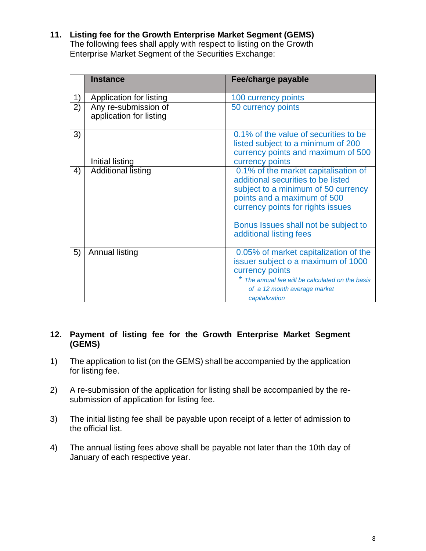**11. Listing fee for the Growth Enterprise Market Segment (GEMS)** The following fees shall apply with respect to listing on the Growth Enterprise Market Segment of the Securities Exchange:

|    | <b>Instance</b>                                 | Fee/charge payable                                                                                                                                                                                                                                       |
|----|-------------------------------------------------|----------------------------------------------------------------------------------------------------------------------------------------------------------------------------------------------------------------------------------------------------------|
| 1) | Application for listing                         | 100 currency points                                                                                                                                                                                                                                      |
| 2) | Any re-submission of<br>application for listing | 50 currency points                                                                                                                                                                                                                                       |
| 3) | <b>Initial listing</b>                          | 0.1% of the value of securities to be<br>listed subject to a minimum of 200<br>currency points and maximum of 500<br>currency points                                                                                                                     |
| 4) | <b>Additional listing</b>                       | 0.1% of the market capitalisation of<br>additional securities to be listed<br>subject to a minimum of 50 currency<br>points and a maximum of 500<br>currency points for rights issues<br>Bonus Issues shall not be subject to<br>additional listing fees |
| 5) | Annual listing                                  | 0.05% of market capitalization of the<br>issuer subject o a maximum of 1000<br>currency points<br>* The annual fee will be calculated on the basis<br>of a 12 month average market<br>capitalization                                                     |

#### **12. Payment of listing fee for the Growth Enterprise Market Segment (GEMS)**

- 1) The application to list (on the GEMS) shall be accompanied by the application for listing fee.
- 2) A re-submission of the application for listing shall be accompanied by the resubmission of application for listing fee.
- 3) The initial listing fee shall be payable upon receipt of a letter of admission to the official list.
- 4) The annual listing fees above shall be payable not later than the 10th day of January of each respective year.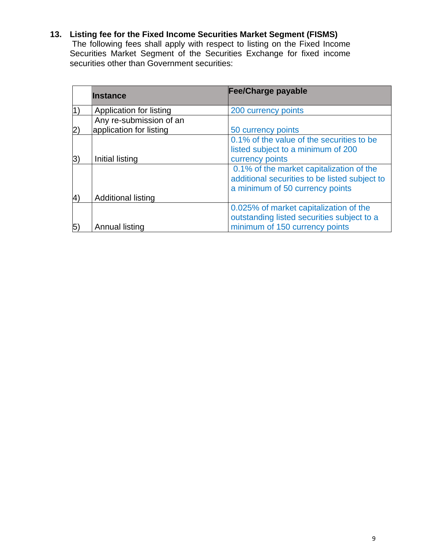# **13. Listing fee for the Fixed Income Securities Market Segment (FISMS)**

The following fees shall apply with respect to listing on the Fixed Income Securities Market Segment of the Securities Exchange for fixed income securities other than Government securities:

| <b>Instance</b>           | Fee/Charge payable                            |
|---------------------------|-----------------------------------------------|
| Application for listing   | 200 currency points                           |
| Any re-submission of an   |                                               |
| application for listing   | 50 currency points                            |
|                           | 0.1% of the value of the securities to be     |
|                           | listed subject to a minimum of 200            |
| Initial listing           | currency points                               |
|                           | 0.1% of the market capitalization of the      |
|                           | additional securities to be listed subject to |
|                           | a minimum of 50 currency points               |
| <b>Additional listing</b> |                                               |
|                           | 0.025% of market capitalization of the        |
|                           | outstanding listed securities subject to a    |
| Annual listing            | minimum of 150 currency points                |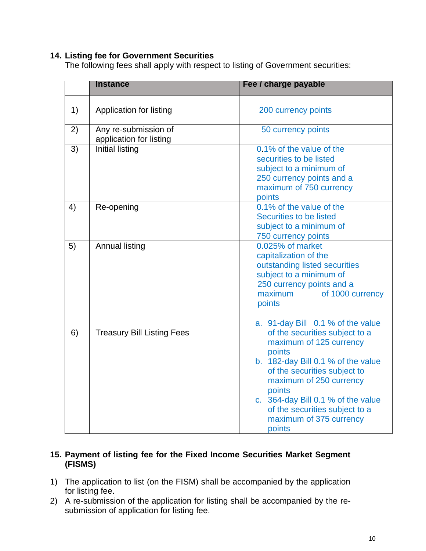### **14. Listing fee for Government Securities**

The following fees shall apply with respect to listing of Government securities:

|    | <b>Instance</b>                                 | Fee / charge payable                                                                                                                                                                                                                                                                                                             |
|----|-------------------------------------------------|----------------------------------------------------------------------------------------------------------------------------------------------------------------------------------------------------------------------------------------------------------------------------------------------------------------------------------|
|    |                                                 |                                                                                                                                                                                                                                                                                                                                  |
| 1) | Application for listing                         | 200 currency points                                                                                                                                                                                                                                                                                                              |
| 2) | Any re-submission of<br>application for listing | 50 currency points                                                                                                                                                                                                                                                                                                               |
| 3) | Initial listing                                 | 0.1% of the value of the<br>securities to be listed<br>subject to a minimum of<br>250 currency points and a<br>maximum of 750 currency<br>points                                                                                                                                                                                 |
| 4) | Re-opening                                      | 0.1% of the value of the<br>Securities to be listed<br>subject to a minimum of<br>750 currency points                                                                                                                                                                                                                            |
| 5) | <b>Annual listing</b>                           | 0.025% of market<br>capitalization of the<br>outstanding listed securities<br>subject to a minimum of<br>250 currency points and a<br>of 1000 currency<br>maximum<br>points                                                                                                                                                      |
| 6) | <b>Treasury Bill Listing Fees</b>               | a. 91-day Bill 0.1 % of the value<br>of the securities subject to a<br>maximum of 125 currency<br>points<br>b. 182-day Bill 0.1 % of the value<br>of the securities subject to<br>maximum of 250 currency<br>points<br>c. 364-day Bill 0.1 % of the value<br>of the securities subject to a<br>maximum of 375 currency<br>points |

#### **15. Payment of listing fee for the Fixed Income Securities Market Segment (FISMS)**

- 1) The application to list (on the FISM) shall be accompanied by the application for listing fee.
- 2) A re-submission of the application for listing shall be accompanied by the resubmission of application for listing fee.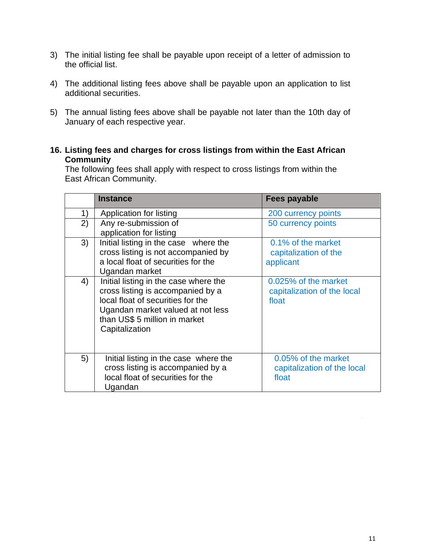- 3) The initial listing fee shall be payable upon receipt of a letter of admission to the official list.
- 4) The additional listing fees above shall be payable upon an application to list additional securities.
- 5) The annual listing fees above shall be payable not later than the 10th day of January of each respective year.
- **16. Listing fees and charges for cross listings from within the East African Community**

The following fees shall apply with respect to cross listings from within the East African Community.

|    | <b>Instance</b>                                                                                                                                                                                         | Fees payable                                                 |
|----|---------------------------------------------------------------------------------------------------------------------------------------------------------------------------------------------------------|--------------------------------------------------------------|
| 1) | Application for listing                                                                                                                                                                                 | 200 currency points                                          |
| 2) | Any re-submission of<br>application for listing                                                                                                                                                         | 50 currency points                                           |
| 3) | Initial listing in the case where the<br>cross listing is not accompanied by<br>a local float of securities for the<br>Ugandan market                                                                   | 0.1% of the market<br>capitalization of the<br>applicant     |
| 4) | Initial listing in the case where the<br>cross listing is accompanied by a<br>local float of securities for the<br>Ugandan market valued at not less<br>than US\$ 5 million in market<br>Capitalization | 0.025% of the market<br>capitalization of the local<br>float |
| 5) | Initial listing in the case where the<br>cross listing is accompanied by a<br>local float of securities for the<br>Ugandan                                                                              | 0.05% of the market<br>capitalization of the local<br>float  |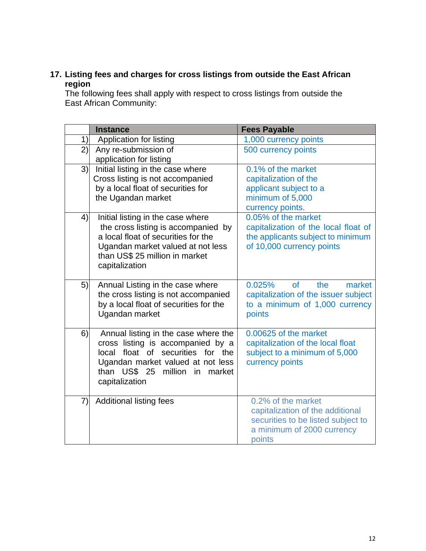# **17. Listing fees and charges for cross listings from outside the East African region**

The following fees shall apply with respect to cross listings from outside the East African Community:

|    | <b>Instance</b>                        | <b>Fees Payable</b>                  |
|----|----------------------------------------|--------------------------------------|
| 1) | Application for listing                | 1,000 currency points                |
| 2) | Any re-submission of                   | 500 currency points                  |
|    | application for listing                |                                      |
| 3) | Initial listing in the case where      | 0.1% of the market                   |
|    | Cross listing is not accompanied       | capitalization of the                |
|    | by a local float of securities for     | applicant subject to a               |
|    | the Ugandan market                     | minimum of 5,000                     |
|    |                                        | currency points.                     |
| 4) | Initial listing in the case where      | 0.05% of the market                  |
|    | the cross listing is accompanied by    | capitalization of the local float of |
|    | a local float of securities for the    | the applicants subject to minimum    |
|    | Ugandan market valued at not less      | of 10,000 currency points            |
|    | than US\$ 25 million in market         |                                      |
|    | capitalization                         |                                      |
| 5) | Annual Listing in the case where       | 0.025%<br>of<br>the<br>market        |
|    | the cross listing is not accompanied   | capitalization of the issuer subject |
|    | by a local float of securities for the | to a minimum of 1,000 currency       |
|    | Ugandan market                         | points                               |
|    |                                        |                                      |
| 6) | Annual listing in the case where the   | 0.00625 of the market                |
|    | cross listing is accompanied by a      | capitalization of the local float    |
|    | local float of securities for the      | subject to a minimum of 5,000        |
|    | Ugandan market valued at not less      | currency points                      |
|    | than US\$ 25<br>million in<br>market   |                                      |
|    | capitalization                         |                                      |
|    |                                        |                                      |
| 7) | <b>Additional listing fees</b>         | 0.2% of the market                   |
|    |                                        | capitalization of the additional     |
|    |                                        | securities to be listed subject to   |
|    |                                        | a minimum of 2000 currency           |
|    |                                        | points                               |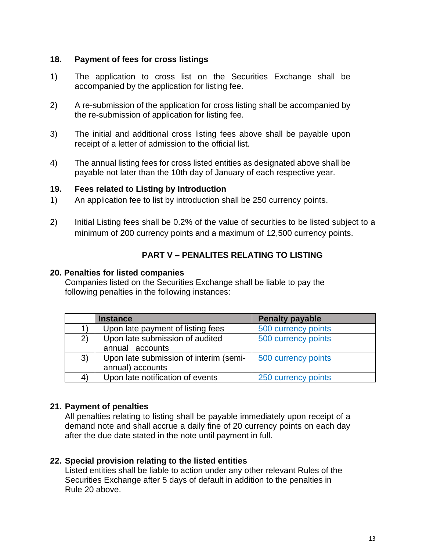#### **18. Payment of fees for cross listings**

- 1) The application to cross list on the Securities Exchange shall be accompanied by the application for listing fee.
- 2) A re-submission of the application for cross listing shall be accompanied by the re-submission of application for listing fee.
- 3) The initial and additional cross listing fees above shall be payable upon receipt of a letter of admission to the official list.
- 4) The annual listing fees for cross listed entities as designated above shall be payable not later than the 10th day of January of each respective year.

#### **19. Fees related to Listing by Introduction**

- 1) An application fee to list by introduction shall be 250 currency points.
- 2) Initial Listing fees shall be 0.2% of the value of securities to be listed subject to a minimum of 200 currency points and a maximum of 12,500 currency points.

# **PART V – PENALITES RELATING TO LISTING**

#### **20. Penalties for listed companies**

Companies listed on the Securities Exchange shall be liable to pay the following penalties in the following instances:

|    | <b>Instance</b>                        | <b>Penalty payable</b> |
|----|----------------------------------------|------------------------|
|    | Upon late payment of listing fees      | 500 currency points    |
| 2) | Upon late submission of audited        | 500 currency points    |
|    | annual accounts                        |                        |
| 3) | Upon late submission of interim (semi- | 500 currency points    |
|    | annual) accounts                       |                        |
| 4) | Upon late notification of events       | 250 currency points    |

# **21. Payment of penalties**

All penalties relating to listing shall be payable immediately upon receipt of a demand note and shall accrue a daily fine of 20 currency points on each day after the due date stated in the note until payment in full.

#### **22. Special provision relating to the listed entities**

Listed entities shall be liable to action under any other relevant Rules of the Securities Exchange after 5 days of default in addition to the penalties in Rule 20 above.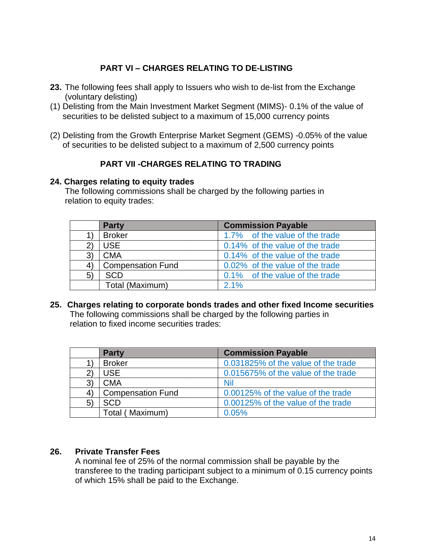# **PART VI – CHARGES RELATING TO DE-LISTING**

- **23.** The following fees shall apply to Issuers who wish to de-list from the Exchange (voluntary delisting)
- (1) Delisting from the Main Investment Market Segment (MIMS)- 0.1% of the value of securities to be delisted subject to a maximum of 15,000 currency points
- (2) Delisting from the Growth Enterprise Market Segment (GEMS) -0.05% of the value of securities to be delisted subject to a maximum of 2,500 currency points

# **PART VII -CHARGES RELATING TO TRADING**

#### **24. Charges relating to equity trades**

The following commissions shall be charged by the following parties in relation to equity trades:

|    | <b>Party</b>             | <b>Commission Payable</b>       |
|----|--------------------------|---------------------------------|
|    | <b>Broker</b>            | 1.7% of the value of the trade  |
|    | <b>USE</b>               | 0.14% of the value of the trade |
| 3) | <b>CMA</b>               | 0.14% of the value of the trade |
| 4) | <b>Compensation Fund</b> | 0.02% of the value of the trade |
| 5) | <b>SCD</b>               | 0.1% of the value of the trade  |
|    | Total (Maximum)          | $2.1\%$                         |

**25. Charges relating to corporate bonds trades and other fixed Income securities** The following commissions shall be charged by the following parties in relation to fixed income securities trades:

|             | <b>Party</b>             | <b>Commission Payable</b>           |
|-------------|--------------------------|-------------------------------------|
|             | <b>Broker</b>            | 0.031825% of the value of the trade |
|             | <b>USE</b>               | 0.015675% of the value of the trade |
| 3)          | <b>CMA</b>               | <b>Nil</b>                          |
| 4           | <b>Compensation Fund</b> | 0.00125% of the value of the trade  |
| $5^{\circ}$ | <b>SCD</b>               | 0.00125% of the value of the trade  |
|             | Total (Maximum)          | 0.05%                               |

# **26. Private Transfer Fees**

A nominal fee of 25% of the normal commission shall be payable by the transferee to the trading participant subject to a minimum of 0.15 currency points of which 15% shall be paid to the Exchange.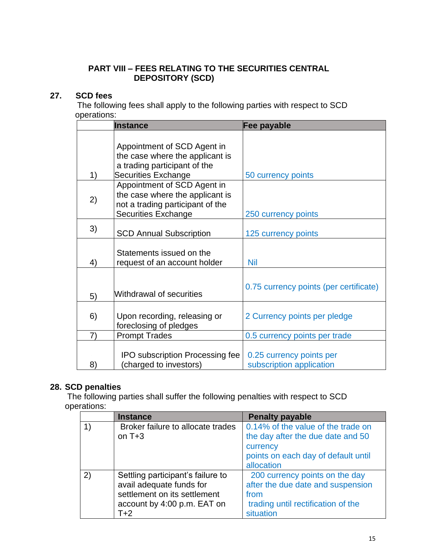# **PART VIII – FEES RELATING TO THE SECURITIES CENTRAL DEPOSITORY (SCD)**

# **27. SCD fees**

The following fees shall apply to the following parties with respect to SCD operations:

|    | <b>Instance</b>                                                                                                                  | Fee payable                                          |
|----|----------------------------------------------------------------------------------------------------------------------------------|------------------------------------------------------|
| 1) | Appointment of SCD Agent in<br>the case where the applicant is<br>a trading participant of the<br><b>Securities Exchange</b>     | 50 currency points                                   |
| 2) | Appointment of SCD Agent in<br>the case where the applicant is<br>not a trading participant of the<br><b>Securities Exchange</b> | 250 currency points                                  |
| 3) | <b>SCD Annual Subscription</b>                                                                                                   | 125 currency points                                  |
| 4) | Statements issued on the<br>request of an account holder                                                                         | <b>Nil</b>                                           |
| 5) | Withdrawal of securities                                                                                                         | 0.75 currency points (per certificate)               |
| 6) | Upon recording, releasing or<br>foreclosing of pledges                                                                           | 2 Currency points per pledge                         |
| 7) | <b>Prompt Trades</b>                                                                                                             | 0.5 currency points per trade                        |
| 8) | <b>IPO subscription Processing fee</b><br>(charged to investors)                                                                 | 0.25 currency points per<br>subscription application |

# **28. SCD penalties**

The following parties shall suffer the following penalties with respect to SCD operations:

|    | <b>Instance</b>                   | <b>Penalty payable</b>              |
|----|-----------------------------------|-------------------------------------|
| 1) | Broker failure to allocate trades | 0.14% of the value of the trade on  |
|    | on $T+3$                          | the day after the due date and 50   |
|    |                                   | currency                            |
|    |                                   | points on each day of default until |
|    |                                   | allocation                          |
| 2) | Settling participant's failure to | 200 currency points on the day      |
|    | avail adequate funds for          | after the due date and suspension   |
|    | settlement on its settlement      | from                                |
|    | account by 4:00 p.m. EAT on       | trading until rectification of the  |
|    | $T+2$                             | situation                           |